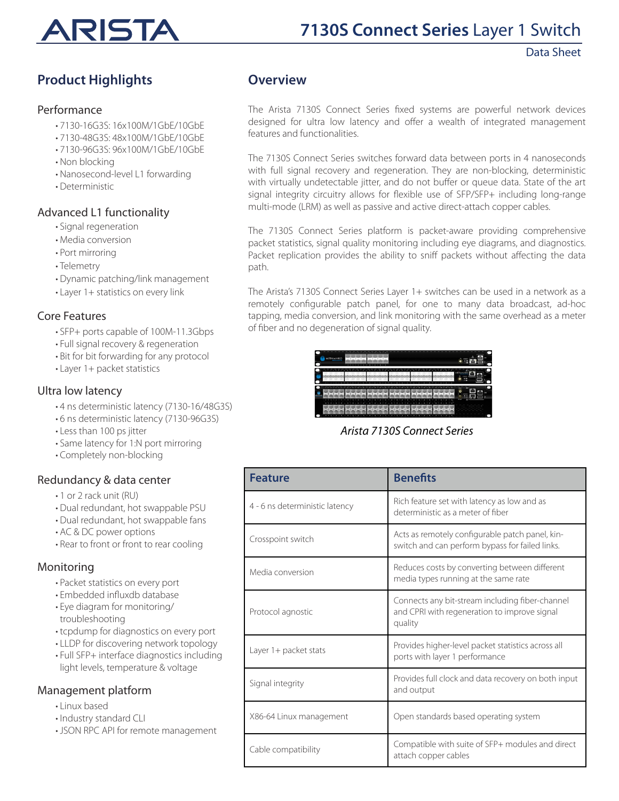

# **7130S Connect Series** Layer 1 Switch

### Data Sheet

# **Product Highlights**

#### Performance

- 7130-16G3S: 16x100M/1GbE/10GbE
- 7130-48G3S: 48x100M/1GbE/10GbE
- 7130-96G3S: 96x100M/1GbE/10GbE
- Non blocking
- Nanosecond-level L1 forwarding
- Deterministic

## Advanced L1 functionality

- Signal regeneration
- Media conversion
- Port mirroring
- Telemetry
- Dynamic patching/link management
- Layer 1+ statistics on every link

## Core Features

- SFP+ ports capable of 100M-11.3Gbps
- Full signal recovery & regeneration
- Bit for bit forwarding for any protocol
- Layer 1+ packet statistics

# Ultra low latency

- 4 ns deterministic latency (7130-16/48G3S)
- 6 ns deterministic latency (7130-96G3S)
- Less than 100 ps jitter
- Same latency for 1:N port mirroring
- Completely non-blocking

# Redundancy & data center

- 1 or 2 rack unit (RU)
- Dual redundant, hot swappable PSU
- Dual redundant, hot swappable fans
- AC & DC power options
- Rear to front or front to rear cooling

### Monitoring

- Packet statistics on every port
- Embedded influxdb database
- Eye diagram for monitoring/ troubleshooting
- tcpdump for diagnostics on every port
- LLDP for discovering network topology
- Full SFP+ interface diagnostics including light levels, temperature & voltage

# Management platform

- Linux based
- Industry standard CLI
- JSON RPC API for remote management

# **Overview**

The Arista 7130S Connect Series fixed systems are powerful network devices designed for ultra low latency and offer a wealth of integrated management features and functionalities.

The 7130S Connect Series switches forward data between ports in 4 nanoseconds with full signal recovery and regeneration. They are non-blocking, deterministic with virtually undetectable jitter, and do not buffer or queue data. State of the art signal integrity circuitry allows for flexible use of SFP/SFP+ including long-range multi-mode (LRM) as well as passive and active direct-attach copper cables.

The 7130S Connect Series platform is packet-aware providing comprehensive packet statistics, signal quality monitoring including eye diagrams, and diagnostics. Packet replication provides the ability to sniff packets without affecting the data path.

The Arista's 7130S Connect Series Layer 1+ switches can be used in a network as a remotely configurable patch panel, for one to many data broadcast, ad-hoc tapping, media conversion, and link monitoring with the same overhead as a meter of fiber and no degeneration of signal quality.

|                |                       |   |        |   |  |  |                          |                    |   |   |   |   |                          |  |   |                                  |  |   |                                |        | <b>MITAM</b>                  |   |  |  |
|----------------|-----------------------|---|--------|---|--|--|--------------------------|--------------------|---|---|---|---|--------------------------|--|---|----------------------------------|--|---|--------------------------------|--------|-------------------------------|---|--|--|
| <b>STORAGE</b> | <b>CALL PART</b><br>e | - | ≖<br>- | œ |  |  |                          |                    |   | - | - |   | u<br>-                   |  |   |                                  |  | - |                                |        | ÷<br>$\circ$<br><b>Branch</b> | z |  |  |
|                | -<br>-                |   |        |   |  |  | and fourth fourth fourth | and building built | - | - |   | - | in a familian famil<br>- |  | - | <b>Sault Dauf Dauf Dauf</b><br>╸ |  |   | <b>South South South South</b> | $\sim$ |                               |   |  |  |

*Arista 7130S Connect Series*

| <b>Feature</b>                 | <b>Benefits</b>                                                                                            |
|--------------------------------|------------------------------------------------------------------------------------------------------------|
| 4 - 6 ns deterministic latency | Rich feature set with latency as low and as<br>deterministic as a meter of fiber                           |
| Crosspoint switch              | Acts as remotely configurable patch panel, kin-<br>switch and can perform bypass for failed links.         |
| Media conversion               | Reduces costs by converting between different<br>media types running at the same rate                      |
| Protocol agnostic              | Connects any bit-stream including fiber-channel<br>and CPRI with regeneration to improve signal<br>quality |
| Layer 1+ packet stats          | Provides higher-level packet statistics across all<br>ports with layer 1 performance                       |
| Signal integrity               | Provides full clock and data recovery on both input<br>and output                                          |
| X86-64 Linux management        | Open standards based operating system                                                                      |
| Cable compatibility            | Compatible with suite of SFP+ modules and direct<br>attach copper cables                                   |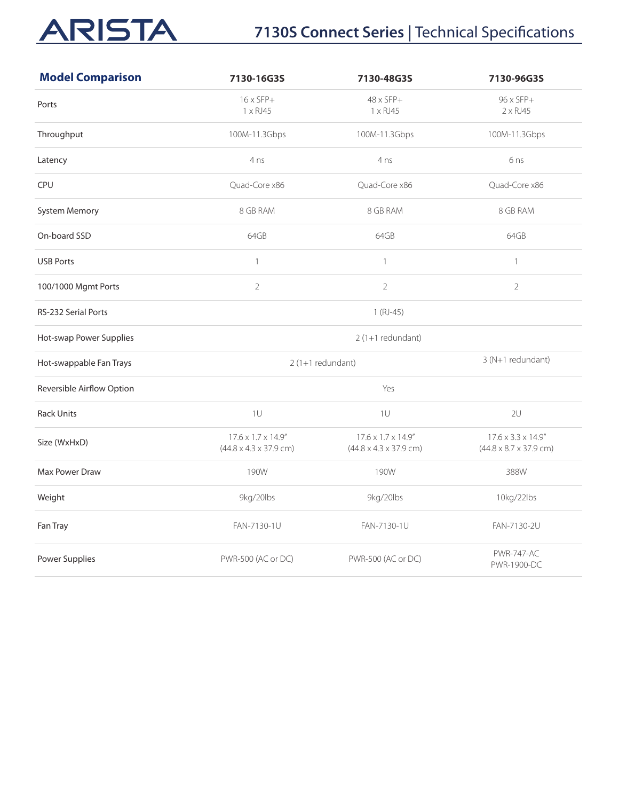# ARISTA

# **7130S Connect Series | Technical Specifications**

| <b>Model Comparison</b>    | 7130-16G3S                                                            | 7130-48G3S                                                                    | 7130-96G3S                                                            |
|----------------------------|-----------------------------------------------------------------------|-------------------------------------------------------------------------------|-----------------------------------------------------------------------|
| Ports                      | $16 \times SFP+$<br>1 x RJ45                                          | $48 \times SFP+$<br>1 x RJ45                                                  | 96 x SFP+<br>$2 \times R$ J45                                         |
| Throughput                 | 100M-11.3Gbps                                                         | 100M-11.3Gbps                                                                 | 100M-11.3Gbps                                                         |
| Latency                    | 4 <sub>ns</sub>                                                       | 4 <sub>ns</sub>                                                               | 6 <sub>ns</sub>                                                       |
| CPU                        | Quad-Core x86                                                         | Quad-Core x86                                                                 | Quad-Core x86                                                         |
| <b>System Memory</b>       | 8 GB RAM                                                              | 8 GB RAM                                                                      | 8 GB RAM                                                              |
| On-board SSD               | 64GB                                                                  | 64GB                                                                          | 64GB                                                                  |
| <b>USB Ports</b>           | $\mathbf{1}$                                                          | $\mathbf{1}$                                                                  | $\mathbf{1}$                                                          |
| 100/1000 Mgmt Ports        | $\sqrt{2}$                                                            | $\overline{2}$                                                                | $\overline{2}$                                                        |
| <b>RS-232 Serial Ports</b> |                                                                       | $1(RJ-45)$                                                                    |                                                                       |
| Hot-swap Power Supplies    |                                                                       | 2 (1+1 redundant)                                                             |                                                                       |
| Hot-swappable Fan Trays    |                                                                       | $2(1+1$ redundant)                                                            | 3 (N+1 redundant)                                                     |
| Reversible Airflow Option  |                                                                       | Yes                                                                           |                                                                       |
| <b>Rack Units</b>          | 1U                                                                    | 1U                                                                            | 2U                                                                    |
| Size (WxHxD)               | $17.6 \times 1.7 \times 14.9''$<br>$(44.8 \times 4.3 \times 37.9$ cm) | $17.6 \times 1.7 \times 14.9$ "<br>$(44.8 \times 4.3 \times 37.9 \text{ cm})$ | $17.6 \times 3.3 \times 14.9''$<br>$(44.8 \times 8.7 \times 37.9$ cm) |
| <b>Max Power Draw</b>      | 190W                                                                  | 190W                                                                          | 388W                                                                  |
| Weight                     | 9kg/20lbs                                                             | 9kg/20lbs                                                                     | 10kg/22lbs                                                            |
| Fan Tray                   | FAN-7130-1U                                                           | FAN-7130-1U                                                                   | FAN-7130-2U                                                           |
| Power Supplies             | PWR-500 (AC or DC)                                                    | PWR-500 (AC or DC)                                                            | <b>PWR-747-AC</b><br>PWR-1900-DC                                      |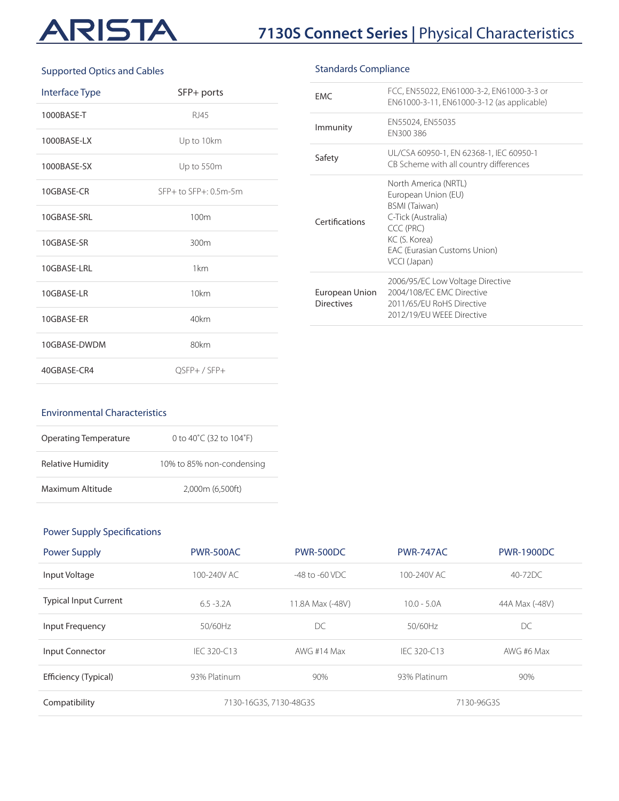# ARISTA

# **7130S Connect Series |** Physical Characteristics

#### Supported Optics and Cables

| <b>Interface Type</b> | SFP+ ports            |
|-----------------------|-----------------------|
| 1000BASE-T            | RJ45                  |
| 1000BASE-LX           | Up to 10km            |
| 1000BASE-SX           | Up to 550m            |
| 10GBASE-CR            | SFP+ to SFP+: 0.5m-5m |
| 10GBASE-SRL           | 100m                  |
| 10GBASE-SR            | 300 <sub>m</sub>      |
| 10GBASE-LRL           | 1km                   |
| 10GBASE-LR            | 10km                  |
| 10GBASE-ER            | 40km                  |
| 10GBASE-DWDM          | 80km                  |
| 40GBASE-CR4           | OSFP+/SFP+            |

| <b>FMC</b>                          | FCC, EN55022, EN61000-3-2, EN61000-3-3 or<br>EN61000-3-11, EN61000-3-12 (as applicable)                                                                                 |
|-------------------------------------|-------------------------------------------------------------------------------------------------------------------------------------------------------------------------|
| Immunity                            | EN55024, EN55035<br>FN300386                                                                                                                                            |
| Safety                              | UL/CSA 60950-1, EN 62368-1, IEC 60950-1<br>CB Scheme with all country differences                                                                                       |
| Certifications                      | North America (NRTL)<br>European Union (EU)<br>BSMI (Taiwan)<br>C-Tick (Australia)<br>CCC (PRC)<br>KC (S. Korea)<br><b>EAC (Eurasian Customs Union)</b><br>VCCI (Japan) |
| European Union<br><b>Directives</b> | 2006/95/EC Low Voltage Directive<br>2004/108/FC FMC Directive<br>2011/65/EU RoHS Directive<br>2012/19/EU WEEE Directive                                                 |
|                                     |                                                                                                                                                                         |

#### Environmental Characteristics

| <b>Operating Temperature</b> | 0 to 40 $^{\circ}$ C (32 to 104 $^{\circ}$ F) |
|------------------------------|-----------------------------------------------|
| Relative Humidity            | 10% to 85% non-condensing                     |
| Maximum Altitude             | 2.000m (6.500ft)                              |

## Power Supply Specifications

| Power Supply                 | <b>PWR-500AC</b>       | PWR-500DC           | <b>PWR-747AC</b> | <b>PWR-1900DC</b> |
|------------------------------|------------------------|---------------------|------------------|-------------------|
| Input Voltage                | 100-240V AC            | $-48$ to $-60$ VDC. | 100-240V AC      | $40-72DC$         |
| <b>Typical Input Current</b> | $6.5 - 3.2A$           | 11.8A Max (-48V)    | $10.0 - 5.0A$    | 44A Max (-48V)    |
| Input Frequency              | 50/60Hz                | DC                  | 50/60Hz          | DC                |
| Input Connector              | IFC 320-C13            | AWG #14 Max         | IFC 320-C13      | AWG #6 Max        |
| Efficiency (Typical)         | 93% Platinum           | 90%                 | 93% Platinum     | 90%               |
| Compatibility                | 7130-16G3S, 7130-48G3S |                     | 7130-96G3S       |                   |

## Standards Compliance